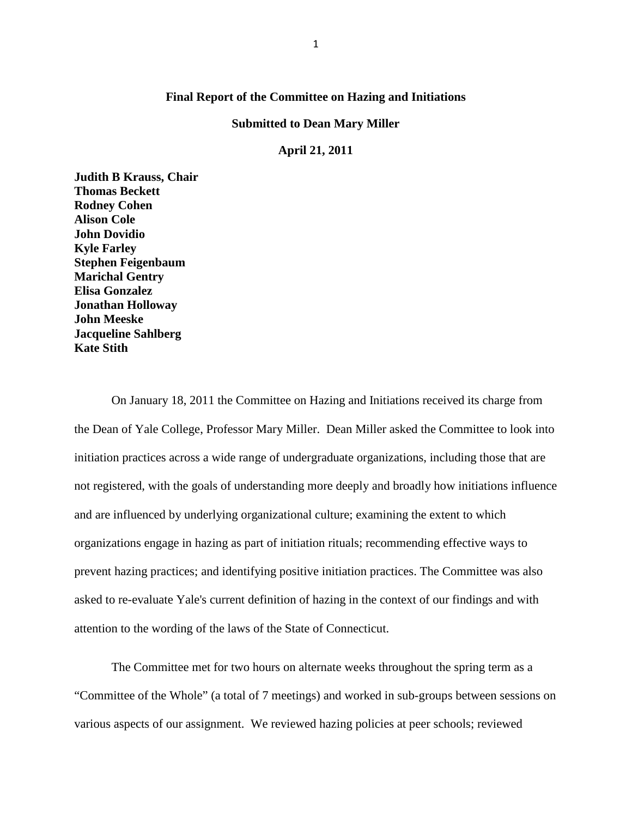### **Final Report of the Committee on Hazing and Initiations**

#### **Submitted to Dean Mary Miller**

#### **April 21, 2011**

**Judith B Krauss, Chair Thomas Beckett Rodney Cohen Alison Cole John Dovidio Kyle Farley Stephen Feigenbaum Marichal Gentry Elisa Gonzalez Jonathan Holloway John Meeske Jacqueline Sahlberg Kate Stith**

On January 18, 2011 the Committee on Hazing and Initiations received its charge from the Dean of Yale College, Professor Mary Miller. Dean Miller asked the Committee to look into initiation practices across a wide range of undergraduate organizations, including those that are not registered, with the goals of understanding more deeply and broadly how initiations influence and are influenced by underlying organizational culture; examining the extent to which organizations engage in hazing as part of initiation rituals; recommending effective ways to prevent hazing practices; and identifying positive initiation practices. The Committee was also asked to re-evaluate Yale's current definition of hazing in the context of our findings and with attention to the wording of the laws of the State of Connecticut.

The Committee met for two hours on alternate weeks throughout the spring term as a "Committee of the Whole" (a total of 7 meetings) and worked in sub-groups between sessions on various aspects of our assignment. We reviewed hazing policies at peer schools; reviewed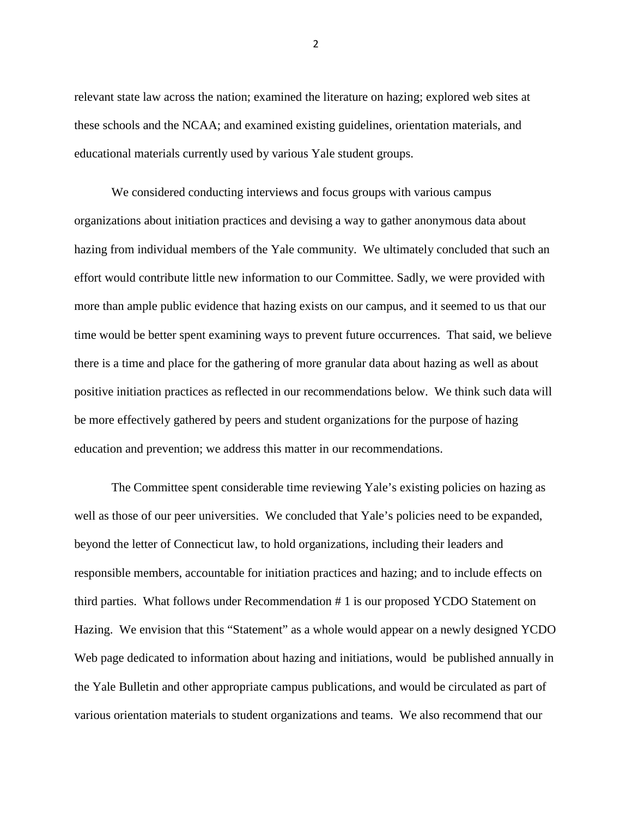relevant state law across the nation; examined the literature on hazing; explored web sites at these schools and the NCAA; and examined existing guidelines, orientation materials, and educational materials currently used by various Yale student groups.

We considered conducting interviews and focus groups with various campus organizations about initiation practices and devising a way to gather anonymous data about hazing from individual members of the Yale community. We ultimately concluded that such an effort would contribute little new information to our Committee. Sadly, we were provided with more than ample public evidence that hazing exists on our campus, and it seemed to us that our time would be better spent examining ways to prevent future occurrences. That said, we believe there is a time and place for the gathering of more granular data about hazing as well as about positive initiation practices as reflected in our recommendations below. We think such data will be more effectively gathered by peers and student organizations for the purpose of hazing education and prevention; we address this matter in our recommendations.

The Committee spent considerable time reviewing Yale's existing policies on hazing as well as those of our peer universities. We concluded that Yale's policies need to be expanded, beyond the letter of Connecticut law, to hold organizations, including their leaders and responsible members, accountable for initiation practices and hazing; and to include effects on third parties. What follows under Recommendation # 1 is our proposed YCDO Statement on Hazing. We envision that this "Statement" as a whole would appear on a newly designed YCDO Web page dedicated to information about hazing and initiations, would be published annually in the Yale Bulletin and other appropriate campus publications, and would be circulated as part of various orientation materials to student organizations and teams. We also recommend that our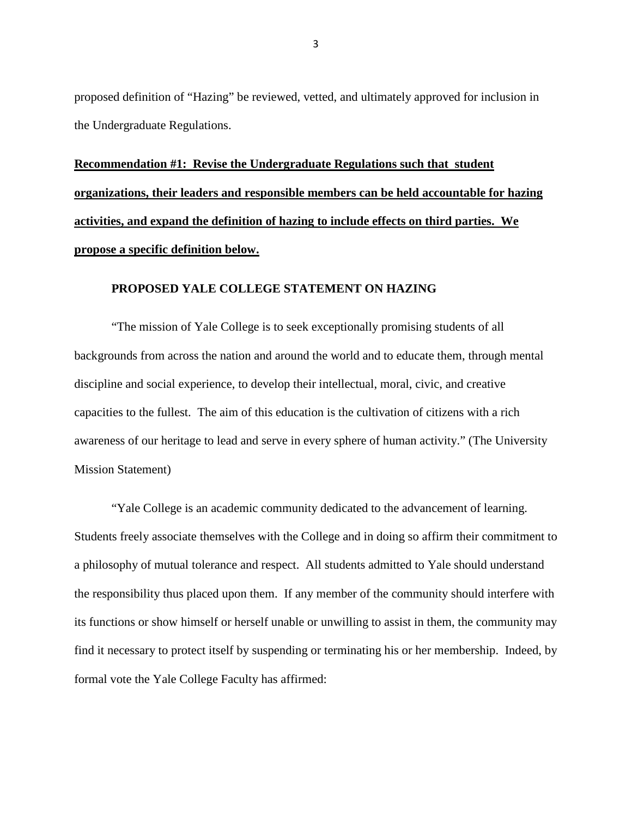proposed definition of "Hazing" be reviewed, vetted, and ultimately approved for inclusion in the Undergraduate Regulations.

**Recommendation #1: Revise the Undergraduate Regulations such that student organizations, their leaders and responsible members can be held accountable for hazing activities, and expand the definition of hazing to include effects on third parties. We propose a specific definition below.** 

#### **PROPOSED YALE COLLEGE STATEMENT ON HAZING**

"The mission of Yale College is to seek exceptionally promising students of all backgrounds from across the nation and around the world and to educate them, through mental discipline and social experience, to develop their intellectual, moral, civic, and creative capacities to the fullest. The aim of this education is the cultivation of citizens with a rich awareness of our heritage to lead and serve in every sphere of human activity." (The University Mission Statement)

"Yale College is an academic community dedicated to the advancement of learning. Students freely associate themselves with the College and in doing so affirm their commitment to a philosophy of mutual tolerance and respect. All students admitted to Yale should understand the responsibility thus placed upon them. If any member of the community should interfere with its functions or show himself or herself unable or unwilling to assist in them, the community may find it necessary to protect itself by suspending or terminating his or her membership. Indeed, by formal vote the Yale College Faculty has affirmed: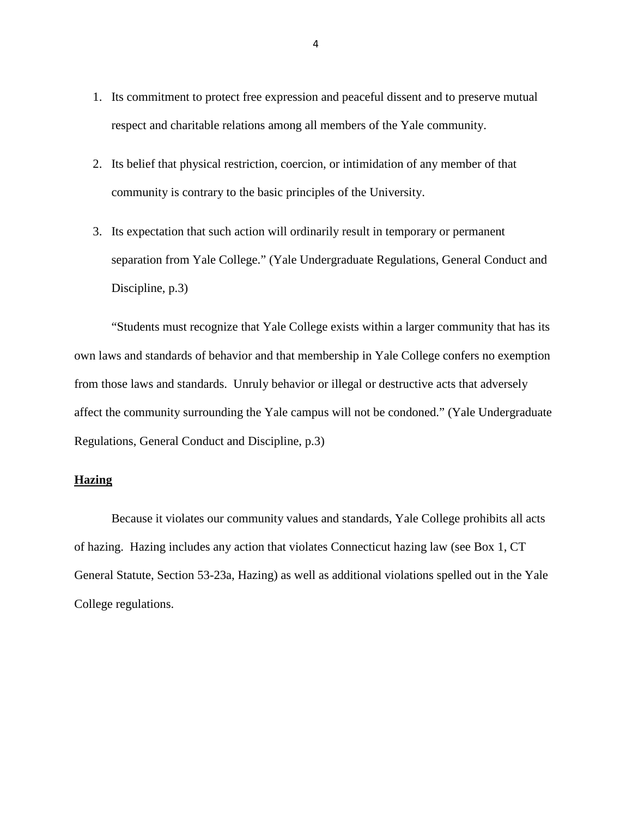- 1. Its commitment to protect free expression and peaceful dissent and to preserve mutual respect and charitable relations among all members of the Yale community.
- 2. Its belief that physical restriction, coercion, or intimidation of any member of that community is contrary to the basic principles of the University.
- 3. Its expectation that such action will ordinarily result in temporary or permanent separation from Yale College." (Yale Undergraduate Regulations, General Conduct and Discipline, p.3)

"Students must recognize that Yale College exists within a larger community that has its own laws and standards of behavior and that membership in Yale College confers no exemption from those laws and standards. Unruly behavior or illegal or destructive acts that adversely affect the community surrounding the Yale campus will not be condoned." (Yale Undergraduate Regulations, General Conduct and Discipline, p.3)

### **Hazing**

Because it violates our community values and standards, Yale College prohibits all acts of hazing. Hazing includes any action that violates Connecticut hazing law (see Box 1, CT General Statute, Section 53-23a, Hazing) as well as additional violations spelled out in the Yale College regulations.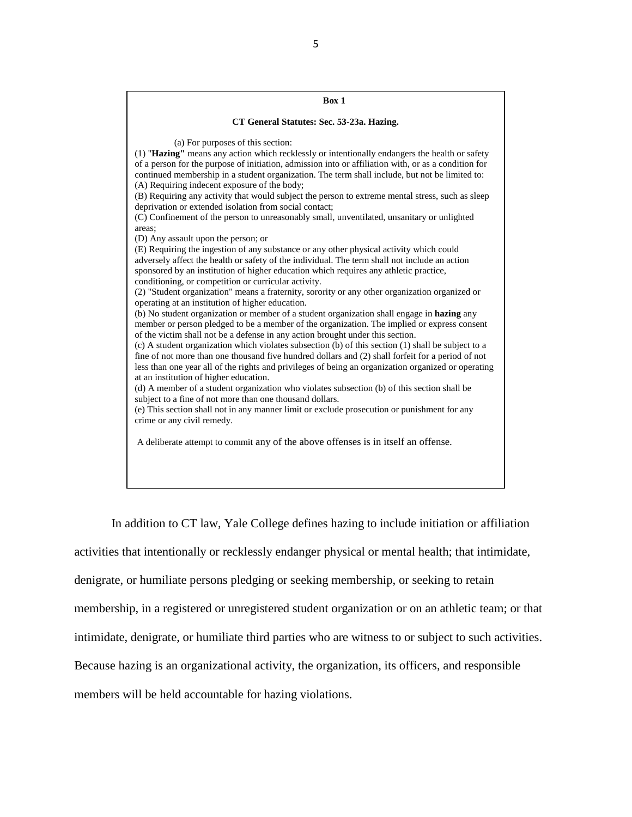| Box 1                                                                                                                                                                                                                                                                                                                                                                                                                                                                                                                                                                                                                                                                                                                                                                                                                                                                                                                                                                                                                                                                                                                                                                                                                                                                                                                                                                                                                                                                                                                                                                                                                                                                                                                                                                                                                                                                                                                                                                                                                                                                                                                                                                                                                                 |
|---------------------------------------------------------------------------------------------------------------------------------------------------------------------------------------------------------------------------------------------------------------------------------------------------------------------------------------------------------------------------------------------------------------------------------------------------------------------------------------------------------------------------------------------------------------------------------------------------------------------------------------------------------------------------------------------------------------------------------------------------------------------------------------------------------------------------------------------------------------------------------------------------------------------------------------------------------------------------------------------------------------------------------------------------------------------------------------------------------------------------------------------------------------------------------------------------------------------------------------------------------------------------------------------------------------------------------------------------------------------------------------------------------------------------------------------------------------------------------------------------------------------------------------------------------------------------------------------------------------------------------------------------------------------------------------------------------------------------------------------------------------------------------------------------------------------------------------------------------------------------------------------------------------------------------------------------------------------------------------------------------------------------------------------------------------------------------------------------------------------------------------------------------------------------------------------------------------------------------------|
| CT General Statutes: Sec. 53-23a. Hazing.                                                                                                                                                                                                                                                                                                                                                                                                                                                                                                                                                                                                                                                                                                                                                                                                                                                                                                                                                                                                                                                                                                                                                                                                                                                                                                                                                                                                                                                                                                                                                                                                                                                                                                                                                                                                                                                                                                                                                                                                                                                                                                                                                                                             |
| (a) For purposes of this section:<br>(1) "Hazing" means any action which recklessly or intentionally endangers the health or safety<br>of a person for the purpose of initiation, admission into or affiliation with, or as a condition for<br>continued membership in a student organization. The term shall include, but not be limited to:<br>(A) Requiring indecent exposure of the body;<br>(B) Requiring any activity that would subject the person to extreme mental stress, such as sleep<br>deprivation or extended isolation from social contact;<br>(C) Confinement of the person to unreasonably small, unventilated, unsanitary or unlighted<br>areas:<br>(D) Any assault upon the person; or<br>(E) Requiring the ingestion of any substance or any other physical activity which could<br>adversely affect the health or safety of the individual. The term shall not include an action<br>sponsored by an institution of higher education which requires any athletic practice,<br>conditioning, or competition or curricular activity.<br>(2) "Student organization" means a fraternity, sorority or any other organization organized or<br>operating at an institution of higher education.<br>(b) No student organization or member of a student organization shall engage in hazing any<br>member or person pledged to be a member of the organization. The implied or express consent<br>of the victim shall not be a defense in any action brought under this section.<br>(c) A student organization which violates subsection (b) of this section (1) shall be subject to a<br>fine of not more than one thousand five hundred dollars and (2) shall forfeit for a period of not<br>less than one year all of the rights and privileges of being an organization organized or operating<br>at an institution of higher education.<br>(d) A member of a student organization who violates subsection (b) of this section shall be<br>subject to a fine of not more than one thousand dollars.<br>(e) This section shall not in any manner limit or exclude prosecution or punishment for any<br>crime or any civil remedy.<br>A deliberate attempt to commit any of the above offenses is in itself an offense. |
|                                                                                                                                                                                                                                                                                                                                                                                                                                                                                                                                                                                                                                                                                                                                                                                                                                                                                                                                                                                                                                                                                                                                                                                                                                                                                                                                                                                                                                                                                                                                                                                                                                                                                                                                                                                                                                                                                                                                                                                                                                                                                                                                                                                                                                       |

In addition to CT law, Yale College defines hazing to include initiation or affiliation activities that intentionally or recklessly endanger physical or mental health; that intimidate, denigrate, or humiliate persons pledging or seeking membership, or seeking to retain membership, in a registered or unregistered student organization or on an athletic team; or that intimidate, denigrate, or humiliate third parties who are witness to or subject to such activities. Because hazing is an organizational activity, the organization, its officers, and responsible members will be held accountable for hazing violations.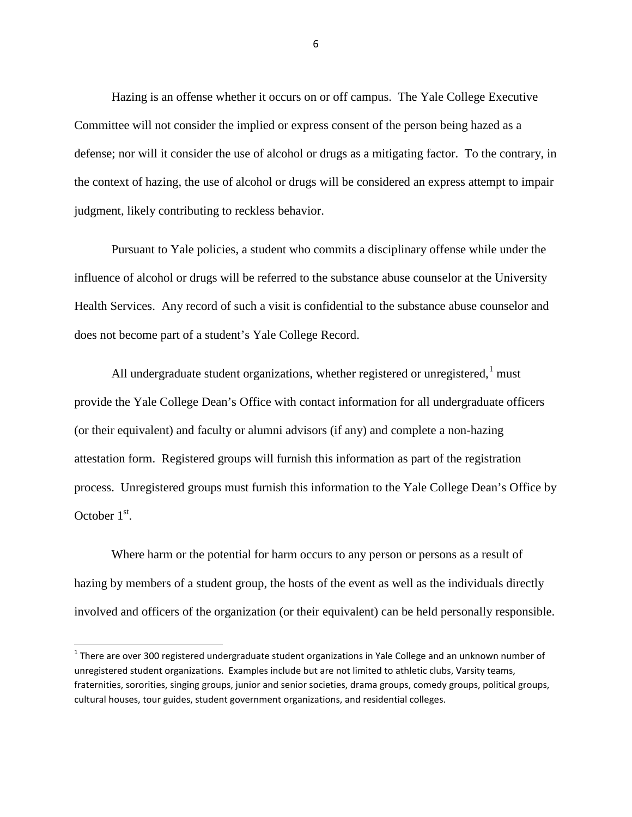Hazing is an offense whether it occurs on or off campus. The Yale College Executive Committee will not consider the implied or express consent of the person being hazed as a defense; nor will it consider the use of alcohol or drugs as a mitigating factor. To the contrary, in the context of hazing, the use of alcohol or drugs will be considered an express attempt to impair judgment, likely contributing to reckless behavior.

Pursuant to Yale policies, a student who commits a disciplinary offense while under the influence of alcohol or drugs will be referred to the substance abuse counselor at the University Health Services. Any record of such a visit is confidential to the substance abuse counselor and does not become part of a student's Yale College Record.

All undergraduate student organizations, whether registered or unregistered, $<sup>1</sup>$  $<sup>1</sup>$  $<sup>1</sup>$  must</sup> provide the Yale College Dean's Office with contact information for all undergraduate officers (or their equivalent) and faculty or alumni advisors (if any) and complete a non-hazing attestation form. Registered groups will furnish this information as part of the registration process. Unregistered groups must furnish this information to the Yale College Dean's Office by October  $1<sup>st</sup>$ .

Where harm or the potential for harm occurs to any person or persons as a result of hazing by members of a student group, the hosts of the event as well as the individuals directly involved and officers of the organization (or their equivalent) can be held personally responsible.

<span id="page-5-0"></span> $1$  There are over 300 registered undergraduate student organizations in Yale College and an unknown number of unregistered student organizations. Examples include but are not limited to athletic clubs, Varsity teams, fraternities, sororities, singing groups, junior and senior societies, drama groups, comedy groups, political groups, cultural houses, tour guides, student government organizations, and residential colleges.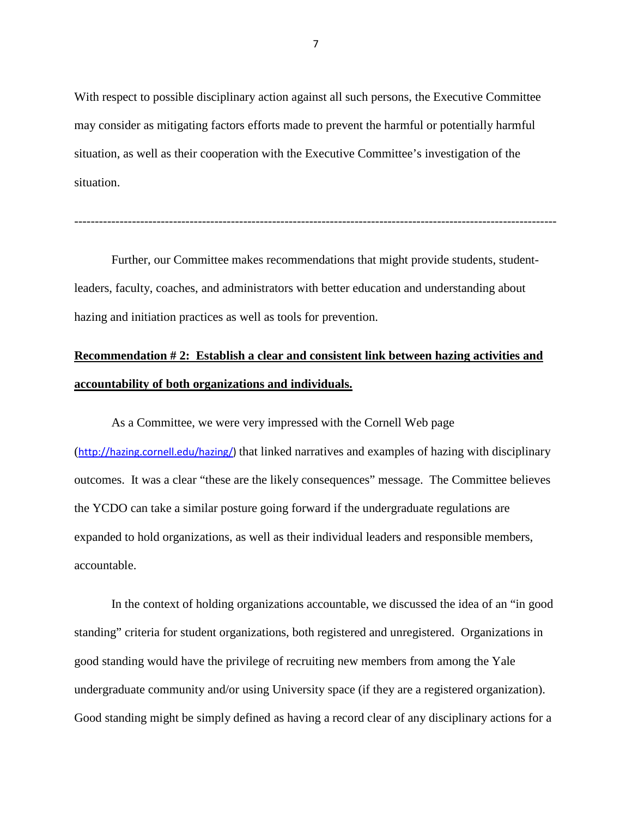With respect to possible disciplinary action against all such persons, the Executive Committee may consider as mitigating factors efforts made to prevent the harmful or potentially harmful situation, as well as their cooperation with the Executive Committee's investigation of the situation.

---------------------------------------------------------------------------------------------------------------------

Further, our Committee makes recommendations that might provide students, studentleaders, faculty, coaches, and administrators with better education and understanding about hazing and initiation practices as well as tools for prevention.

### **Recommendation # 2: Establish a clear and consistent link between hazing activities and accountability of both organizations and individuals.**

As a Committee, we were very impressed with the Cornell Web page ([http://hazing.cornell.edu/hazing/\)](http://hazing.cornell.edu/hazing/) that linked narratives and examples of hazing with disciplinary outcomes. It was a clear "these are the likely consequences" message. The Committee believes the YCDO can take a similar posture going forward if the undergraduate regulations are expanded to hold organizations, as well as their individual leaders and responsible members, accountable.

In the context of holding organizations accountable, we discussed the idea of an "in good standing" criteria for student organizations, both registered and unregistered. Organizations in good standing would have the privilege of recruiting new members from among the Yale undergraduate community and/or using University space (if they are a registered organization). Good standing might be simply defined as having a record clear of any disciplinary actions for a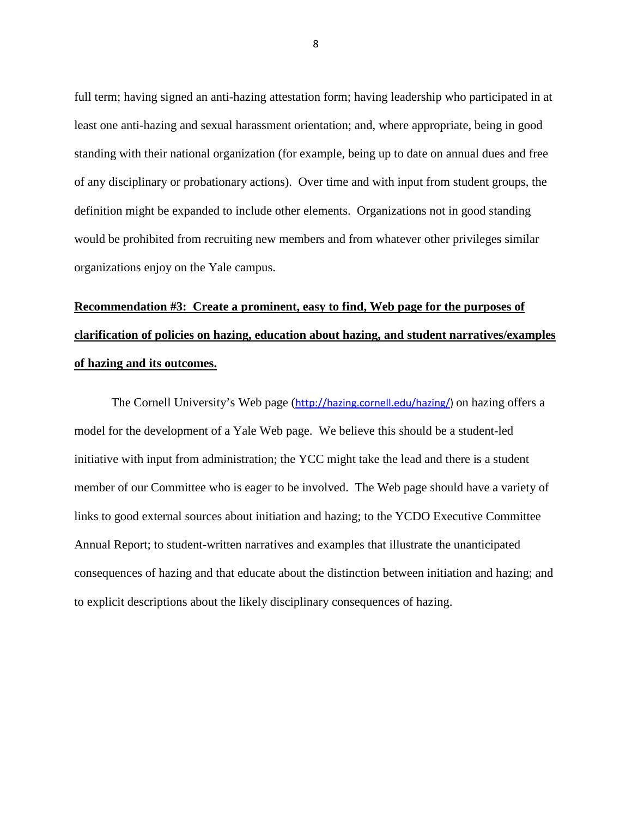full term; having signed an anti-hazing attestation form; having leadership who participated in at least one anti-hazing and sexual harassment orientation; and, where appropriate, being in good standing with their national organization (for example, being up to date on annual dues and free of any disciplinary or probationary actions). Over time and with input from student groups, the definition might be expanded to include other elements. Organizations not in good standing would be prohibited from recruiting new members and from whatever other privileges similar organizations enjoy on the Yale campus.

# **Recommendation #3: Create a prominent, easy to find, Web page for the purposes of clarification of policies on hazing, education about hazing, and student narratives/examples of hazing and its outcomes.**

The Cornell University's Web page ([http://hazing.cornell.edu/hazing/\)](http://hazing.cornell.edu/hazing/) on hazing offers a model for the development of a Yale Web page. We believe this should be a student-led initiative with input from administration; the YCC might take the lead and there is a student member of our Committee who is eager to be involved. The Web page should have a variety of links to good external sources about initiation and hazing; to the YCDO Executive Committee Annual Report; to student-written narratives and examples that illustrate the unanticipated consequences of hazing and that educate about the distinction between initiation and hazing; and to explicit descriptions about the likely disciplinary consequences of hazing.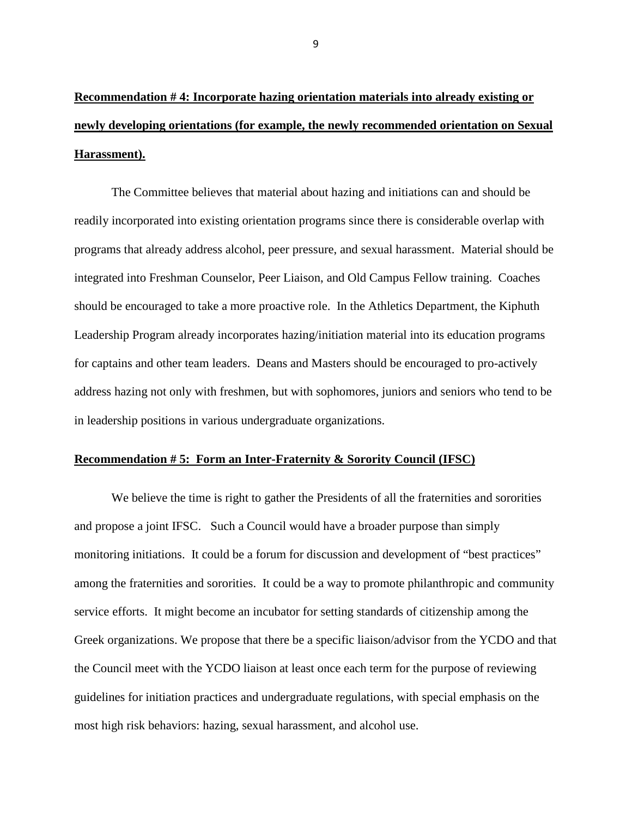**Recommendation # 4: Incorporate hazing orientation materials into already existing or newly developing orientations (for example, the newly recommended orientation on Sexual Harassment).** 

The Committee believes that material about hazing and initiations can and should be readily incorporated into existing orientation programs since there is considerable overlap with programs that already address alcohol, peer pressure, and sexual harassment. Material should be integrated into Freshman Counselor, Peer Liaison, and Old Campus Fellow training. Coaches should be encouraged to take a more proactive role. In the Athletics Department, the Kiphuth Leadership Program already incorporates hazing/initiation material into its education programs for captains and other team leaders. Deans and Masters should be encouraged to pro-actively address hazing not only with freshmen, but with sophomores, juniors and seniors who tend to be in leadership positions in various undergraduate organizations.

### **Recommendation # 5: Form an Inter-Fraternity & Sorority Council (IFSC)**

We believe the time is right to gather the Presidents of all the fraternities and sororities and propose a joint IFSC. Such a Council would have a broader purpose than simply monitoring initiations. It could be a forum for discussion and development of "best practices" among the fraternities and sororities. It could be a way to promote philanthropic and community service efforts. It might become an incubator for setting standards of citizenship among the Greek organizations. We propose that there be a specific liaison/advisor from the YCDO and that the Council meet with the YCDO liaison at least once each term for the purpose of reviewing guidelines for initiation practices and undergraduate regulations, with special emphasis on the most high risk behaviors: hazing, sexual harassment, and alcohol use.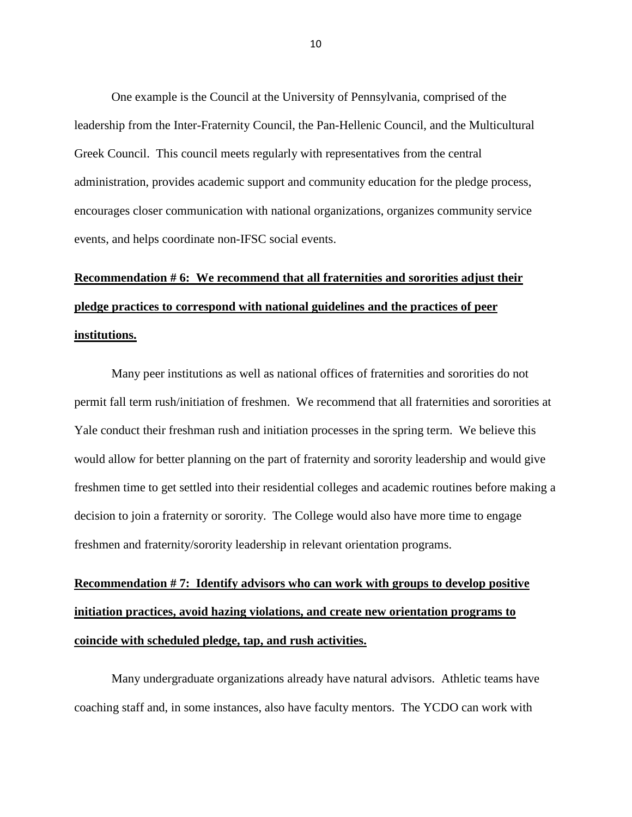One example is the Council at the University of Pennsylvania, comprised of the leadership from the Inter-Fraternity Council, the Pan-Hellenic Council, and the Multicultural Greek Council. This council meets regularly with representatives from the central administration, provides academic support and community education for the pledge process, encourages closer communication with national organizations, organizes community service events, and helps coordinate non-IFSC social events.

## **Recommendation # 6: We recommend that all fraternities and sororities adjust their pledge practices to correspond with national guidelines and the practices of peer institutions.**

Many peer institutions as well as national offices of fraternities and sororities do not permit fall term rush/initiation of freshmen. We recommend that all fraternities and sororities at Yale conduct their freshman rush and initiation processes in the spring term. We believe this would allow for better planning on the part of fraternity and sorority leadership and would give freshmen time to get settled into their residential colleges and academic routines before making a decision to join a fraternity or sorority. The College would also have more time to engage freshmen and fraternity/sorority leadership in relevant orientation programs.

# **Recommendation # 7: Identify advisors who can work with groups to develop positive initiation practices, avoid hazing violations, and create new orientation programs to coincide with scheduled pledge, tap, and rush activities.**

Many undergraduate organizations already have natural advisors. Athletic teams have coaching staff and, in some instances, also have faculty mentors. The YCDO can work with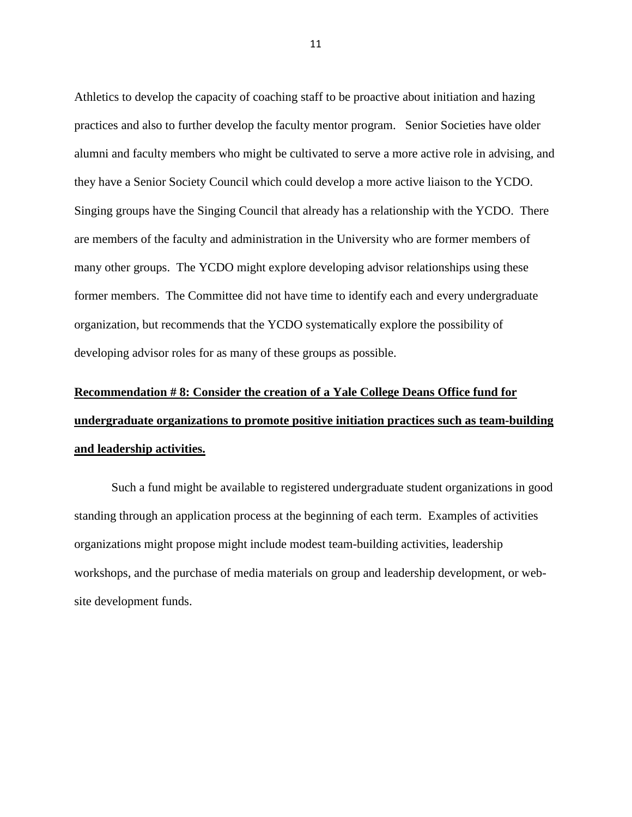Athletics to develop the capacity of coaching staff to be proactive about initiation and hazing practices and also to further develop the faculty mentor program. Senior Societies have older alumni and faculty members who might be cultivated to serve a more active role in advising, and they have a Senior Society Council which could develop a more active liaison to the YCDO. Singing groups have the Singing Council that already has a relationship with the YCDO. There are members of the faculty and administration in the University who are former members of many other groups. The YCDO might explore developing advisor relationships using these former members. The Committee did not have time to identify each and every undergraduate organization, but recommends that the YCDO systematically explore the possibility of developing advisor roles for as many of these groups as possible.

# **Recommendation # 8: Consider the creation of a Yale College Deans Office fund for undergraduate organizations to promote positive initiation practices such as team-building and leadership activities.**

Such a fund might be available to registered undergraduate student organizations in good standing through an application process at the beginning of each term. Examples of activities organizations might propose might include modest team-building activities, leadership workshops, and the purchase of media materials on group and leadership development, or website development funds.